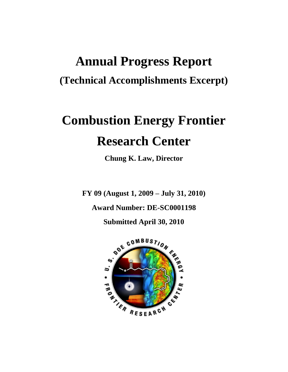# **Annual Progress Report (Technical Accomplishments Excerpt)**

# **Combustion Energy Frontier Research Center**

**Chung K. Law, Director**

**FY 09 (August 1, 2009 – July 31, 2010)**

**Award Number: DE-SC0001198**

**Submitted April 30, 2010** 

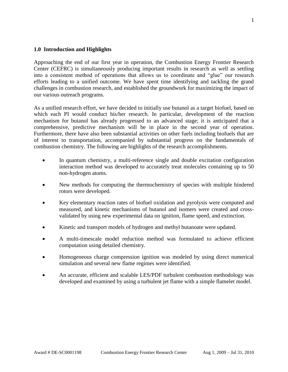#### **1.0 Introduction and Highlights**

Approaching the end of our first year in operation, the Combustion Energy Frontier Research Center (CEFRC) is simultaneously producing important results in research as well as settling into a consistent method of operations that allows us to coordinate and "glue" our research efforts leading to a unified outcome. We have spent time identifying and tackling the grand challenges in combustion research, and established the groundwork for maximizing the impact of our various outreach programs.

As a unified research effort, we have decided to initially use butanol as a target biofuel, based on which each PI would conduct his/her research. In particular, development of the reaction mechanism for butanol has already progressed to an advanced stage; it is anticipated that a comprehensive, predictive mechanism will be in place in the second year of operation. Furthermore, there have also been substantial activities on other fuels including biofuels that are of interest to transportation, accompanied by substantial progress on the fundamentals of combustion chemistry. The following are highlights of the research accomplishments.

- In quantum chemistry, a multi-reference single and double excitation configuration interaction method was developed to accurately treat molecules containing up to 50 non-hydrogen atoms.
- New methods for computing the thermochemistry of species with multiple hindered rotors were developed.
- Key elementary reaction rates of biofuel oxidation and pyrolysis were computed and measured, and kinetic mechanisms of butanol and isomers were created and crossvalidated by using new experimental data on ignition, flame speed, and extinction.
- Kinetic and transport models of hydrogen and methyl butanoate were updated.
- A multi-timescale model reduction method was formulated to achieve efficient computation using detailed chemistry.
- Homogeneous charge compression ignition was modeled by using direct numerical simulation and several new flame regimes were identified.
- An accurate, efficient and scalable LES/PDF turbulent combustion methodology was developed and examined by using a turbulent jet flame with a simple flamelet model.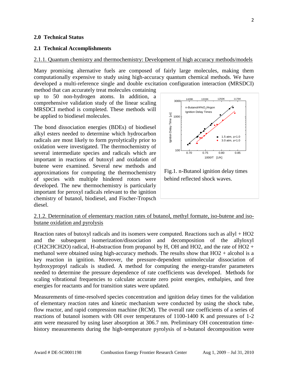#### **2.0 Technical Status**

#### **2.1 Technical Accomplishments**

#### 2.1.1. Quantum chemistry and thermochemistry: Development of high accuracy methods/models

Many promising alternative fuels are composed of fairly large molecules, making them computationally expensive to study using high-accuracy quantum chemical methods. We have developed a multi-reference single and double excitation configuration interaction (MRSDCI)

method that can accurately treat molecules containing up to 50 non-hydrogen atoms. In addition, a comprehensive validation study of the linear scaling MRSDCI method is completed. These methods will be applied to biodiesel molecules.

The bond dissociation energies (BDEs) of biodiesel alkyl esters needed to determine which hydrocarbon radicals are most likely to form pyrolytically prior to oxidation were investigated. The thermochemistry of several intermediate species and radicals which are important in reactions of butoxyl and oxidation of butene were examined. Several new methods and approximations for computing the thermochemistry of species with multiple hindered rotors were developed. The new thermochemistry is particularly important for peroxyl radicals relevant to the ignition chemistry of butanol, biodiesel, and Fischer-Tropsch diesel.





#### 2.1.2. Determination of elementary reaction rates of butanol, methyl formate, iso-butene and isobutane oxidation and pyrolysis

Reaction rates of butoxyl radicals and its isomers were computed. Reactions such as allyl + HO2 and the subsequent isomerization/dissociation and decomposition of the allyloxyl (CH2CHCH2O) radical, H-abstraction from propanol by H, OH and HO2, and the rate of HO2 + methanol were obtained using high-accuracy methods. The results show that  $HO2 + alcohol$  is a key reaction in ignition. Moreover, the pressure-dependent unimolecular dissociation of hydroxypropyl radicals is studied. A method for computing the energy-transfer parameters needed to determine the pressure dependence of rate coefficients was developed. Methods for scaling vibrational frequencies to calculate accurate zero point energies, enthalpies, and free energies for reactants and for transition states were updated.

Measurements of time-resolved species concentration and ignition delay times for the validation of elementary reaction rates and kinetic mechanism were conducted by using the shock tube, flow reactor, and rapid compression machine (RCM). The overall rate coefficients of a series of reactions of butanol isomers with OH over temperatures of 1100-1400 K and pressures of 1-2 atm were measured by using laser absorption at 306.7 nm. Preliminary OH concentration timehistory measurements during the high-temperature pyrolysis of n-butanol decomposition were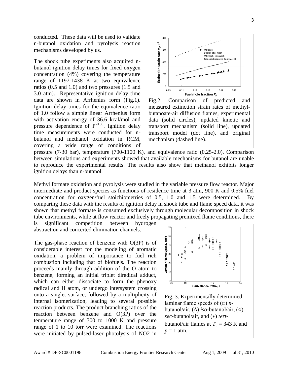conducted. These data will be used to validate n-butanol oxidation and pyrolysis reaction mechanisms developed by us.

The shock tube experiments also acquired nbutanol ignition delay times for fixed oxygen concentration (4%) covering the temperature range of 1197-1438 K at two equivalence ratios (0.5 and 1.0) and two pressures (1.5 and 3.0 atm). Representative ignition delay time data are shown in Arrhenius form (Fig.1). Ignition delay times for the equivalence ratio of 1.0 follow a simple linear Arrhenius form with activation energy of 36.6 kcal/mol and pressure dependence of  $P^{-0.56}$ . Ignition delay time measurements were conducted for nbutanol and methanol oxidation in RCM, covering a wide range of conditions of



Fig.2. Comparison of predicted and measured extinction strain rates of methylbutanoate-air diffusion flames, experimental data (solid circles), updated kinetic and transport mechanism (solid line), updated transport model (dot line), and original mechanism (dashed line).

pressure (7-30 bar), temperature (700-1100 K), and equivalence ratio (0.25-2.0). Comparison between simulations and experiments showed that available mechanisms for butanol are unable to reproduce the experimental results. The results also show that methanol exhibits longer ignition delays than n-butanol.

Methyl formate oxidation and pyrolysis were studied in the variable pressure flow reactor. Major intermediate and product species as functions of residence time at 3 atm, 900 K and 0.5% fuel concentration for oxygen/fuel stoichiometries of 0.5, 1.0 and 1.5 were determined. By comparing these data with the results of ignition delay in shock tube and flame speed data, it was shown that methyl formate is consumed exclusively through molecular decomposition in shock tube environments, while at flow reactor and freely propagating premixed flame conditions, there is significant competition between hydrogen

abstraction and concerted elimination channels.

The gas-phase reaction of benzene with  $O(3P)$  is of considerable interest for the modeling of aromatic oxidation, a problem of importance to fuel rich combustion including that of biofuels. The reaction proceeds mainly through addition of the O atom to benzene, forming an initial triplet diradical adduct, which can either dissociate to form the phenoxy radical and H atom, or undergo intersystem crossing onto a singlet surface, followed by a multiplicity of internal isomerization, leading to several possible reaction products. The product branching ratios of the reaction between benzene and O(3P) over the temperature range of 300 to 1000 K and pressure range of 1 to 10 torr were examined. The reactions were initiated by pulsed-laser photolysis of NO2 in



Fig. 3. Experimentally determined laminar flame speeds of (□) *n*butanol/air, (∆) *iso*-butanol/air, (○) *sec*-butanol/air, and (\*) *tert*butanol/air flames at  $T_u = 343$  K and  $p = 1$  atm.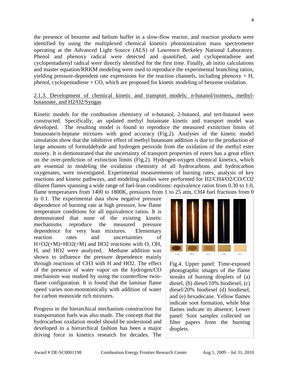the presence of benzene and helium buffer in a slow-flow reactor, and reaction products were identified by using the multiplexed chemical kinetics photoionization mass spectrometer operating at the Advanced Light Source (ALS) of Lawrence Berkeley National Laboratory. Phenol and phenoxy radical were detected and quantified, and cyclopentadiene and cyclopentadienyl radical were directly identified for the first time. Finally, ab initio calculations and master equation/RRKM modeling were used to reproduce the experimental branching ratios, yielding pressure-dependent rate expressions for the reaction channels, including phenoxy  $+$  H, phenol, cyclopentadiene + CO, which are proposed for kinetic modeling of benzene oxidation.

### 2.1.3. Development of chemical kinetic and transport models: n-butanol/isomers, methylbutanoate, and H2/O2/Syngas

Kinetic models for the combustion chemistry of n-butanol, 2-butanol, and tert-butanol were constructed. Specifically, an updated methyl butanoate kinetic and transport model was developed. The resulting model is found to reproduce the measured extinction limits of butanoate/n-heptane mixtures with good accuracy (Fig.2). Analyses of the kinetic model simulation show that the inhibitive effect of methyl butanoate addition is due to the production of large amounts of formaldehyde and hydrogen peroxide from the oxidation of the methyl ester moiety. It is demonstrated that the uncertainty of transport properties of esters has a great effect on the over-prediction of extinction limits (Fig.2). Hydrogen-oxygen chemical kinetics, which are essential in modeling the oxidation chemistry of all hydrocarbons and hydrocarbon oxygenates, were investigated. Experimental measurements of burning rates, analysis of key reactions and kinetic pathways, and modeling studies were performed for H2/CH4/O2/CO/CO2 diluent flames spanning a wide range of fuel-lean conditions: equivalence ratios from 0.30 to 1.0, flame temperatures from 1400 to 1800K, pressures from 1 to 25 atm, CH4 fuel fractions from 0

to 0.1. The experimental data show negative pressure dependence of burning rate at high pressure, low flame temperature conditions for all equivalence ratios. It is demonstrated that none of the existing kinetic mechanisms reproduce the measured pressure dependence for very lean mixtures. Elementary reaction rates and uncertainties of  $H+O2(+M)=HO2(+M)$  and HO2 reactions with O, OH, H, and HO2 were analyzed. Methane addition was shown to influence the pressure dependence mainly through reactions of CH3 with H and HO2. The effect of the presence of water vapor on the hydrogen/CO mechanism was studied by using the counterflow twinflame configuration. It is found that the laminar flame speed varies non-monotonically with addition of water for carbon monoxide rich mixtures.

Progress in the hierarchical mechanism construction for transportation fuels was also made. The concept that the hydrocarbon oxidation model should be understood and developed in a hierarchical fashion has been a major driving force in kinetics research for decades. The



Fig.4. Upper panel: Time-exposed photographic images of the flame streaks of burning droplets of (a) diesel, (b) diesel/10% biodiesel, (c) diesel/20% biodiesel (d) biodiesel, and (e) hexadecane. Yellow flames indicate soot formation, while blue flames indicate its absence; Lower panel: Soot samples collected on filter papers from the burning droplets.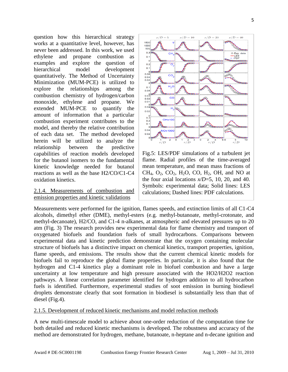question how this hierarchical strategy works at a quantitative level, however, has never been addressed. In this work, we used ethylene and propane combustion as examples and explore the question of hierarchical model development quantitatively. The Method of Uncertainty Minimization (MUM-PCE) is utilized to explore the relationships among the combustion chemistry of hydrogen/carbon monoxide, ethylene and propane. We extended MUM-PCE to quantify the amount of information that a particular combustion experiment contributes to the model, and thereby the relative contribution of each data set. The method developed herein will be utilized to analyze the relationship between the predictive capabilities of reaction models developed for the butanol isomers to the fundamental kinetic knowledge needed for butanol reactions as well as the base H2/CO/C1-C4 oxidation kinetics.

## 2.1.4. Measurements of combustion and emission properties and kinetic validations



Fig.5: LES/PDF simulations of a turbulent jet flame. Radial profiles of the time-averaged mean temperature, and mean mass fractions of CH<sub>4</sub>,  $O_2$ ,  $CO_2$ ,  $H_2O$ ,  $CO$ ,  $H_2$ ,  $OH$ , and NO at the four axial locations  $x/D=5$ , 10, 20, and 40. Symbols: experimental data; Solid lines: LES calculations; Dashed lines: PDF calculations.

Measurements were performed for the ignition, flames speeds, and extinction limits of all C1-C4 alcohols, dimethyl ether (DME), methyl-esters (e.g. methyl-butanoate, methyl-crotonate, and methyl-decanoate), H2/CO, and C1-4 n-alkanes, at atmospheric and elevated pressures up to 20 atm (Fig. 3) The research provides new experimental data for flame chemistry and transport of oxygenated biofuels and foundation fuels of small hydrocarbons. Comparisons between experimental data and kinetic prediction demonstrate that the oxygen containing molecular structure of biofuels has a distinctive impact on chemical kinetics, transport properties, ignition, flame speeds, and emissions. The results show that the current chemical kinetic models for biofuels fail to reproduce the global flame properties. In particular, it is also found that the hydrogen and C1-4 kinetics play a dominant role in biofuel combustion and have a large uncertainty at low temperature and high pressure associated with the HO2/H2O2 reaction pathways. A linear correlation parameter identified for hydrogen addition to all hydrocarbon fuels is identified. Furthermore, experimental studies of soot emission in burning biodiesel droplets demonstrate clearly that soot formation in biodiesel is substantially less than that of diesel (Fig.4).

#### 2.1.5. Development of reduced kinetic mechanisms and model reduction methods

A new multi-timescale model to achieve about one-order reduction of the computation time for both detailed and reduced kinetic mechanisms is developed. The robustness and accuracy of the method are demonstrated for hydrogen, methane, butanoate, n-heptane and n-decane ignition and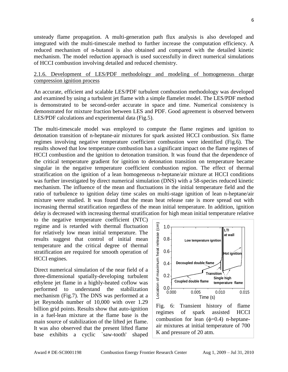unsteady flame propagation. A multi-generation path flux analysis is also developed and integrated with the multi-timescale method to further increase the computation efficiency. A reduced mechanism of n-butanol is also obtained and compared with the detailed kinetic mechanism. The model reduction approach is used successfully in direct numerical simulations of HCCI combustion involving detailed and reduced chemistry.

### 2.1.6. Development of LES/PDF methodology and modeling of homogeneous charge compression ignition process

An accurate, efficient and scalable LES/PDF turbulent combustion methodology was developed and examined by using a turbulent jet flame with a simple flamelet model. The LES/PDF method is demonstrated to be second-order accurate in space and time. Numerical consistency is demonstrated for mixture fraction between LES and PDF. Good agreement is observed between LES/PDF calculations and experimental data (Fig.5).

The multi-timescale model was employed to compute the flame regimes and ignition to detonation transition of n-heptane-air mixtures for spark assisted HCCI combustion. Six flame regimes involving negative temperature coefficient combustion were identified (Fig.6). The results showed that low temperature combustion has a significant impact on the flame regimes of HCCI combustion and the ignition to detonation transition. It was found that the dependence of the critical temperature gradient for ignition to detonation transition on temperature became singular in the negative temperature coefficient combustion region. The effect of thermal stratification on the ignition of a lean homogeneous n-heptane/air mixture at HCCI conditions was further investigated by direct numerical simulation (DNS) with a 58-species reduced kinetic mechanism. The influence of the mean and fluctuations in the initial temperature field and the ratio of turbulence to ignition delay time scales on multi-stage ignition of lean n-heptane/air mixture were studied. It was found that the mean heat release rate is more spread out with increasing thermal stratification regardless of the mean initial temperature. In addition, ignition delay is decreased with increasing thermal stratification for high mean initial temperature relative

to the negative temperature coefficient (NTC) regime and is retarded with thermal fluctuation for relatively low mean initial temperature. The results suggest that control of initial mean temperature and the critical degree of thermal stratification are required for smooth operation of HCCI engines.

Direct numerical simulation of the near field of a three-dimensional spatially-developing turbulent ethylene jet flame in a highly-heated coflow was performed to understand the stabilization mechanism (Fig.7). The DNS was performed at a jet Reynolds number of 10,000 with over 1.29 billion grid points. Results show that auto-ignition in a fuel-lean mixture at the flame base is the main source of stabilization of the lifted jet flame. It was also observed that the present lifted flame base exhibits a cyclic `saw-tooth' shaped



Fig. 6: Transient history of flame regimes of spark assisted HCCI combustion for lean  $(\phi=0.4)$  n-heptaneair mixtures at initial temperature of 700 K and pressure of 20 atm.